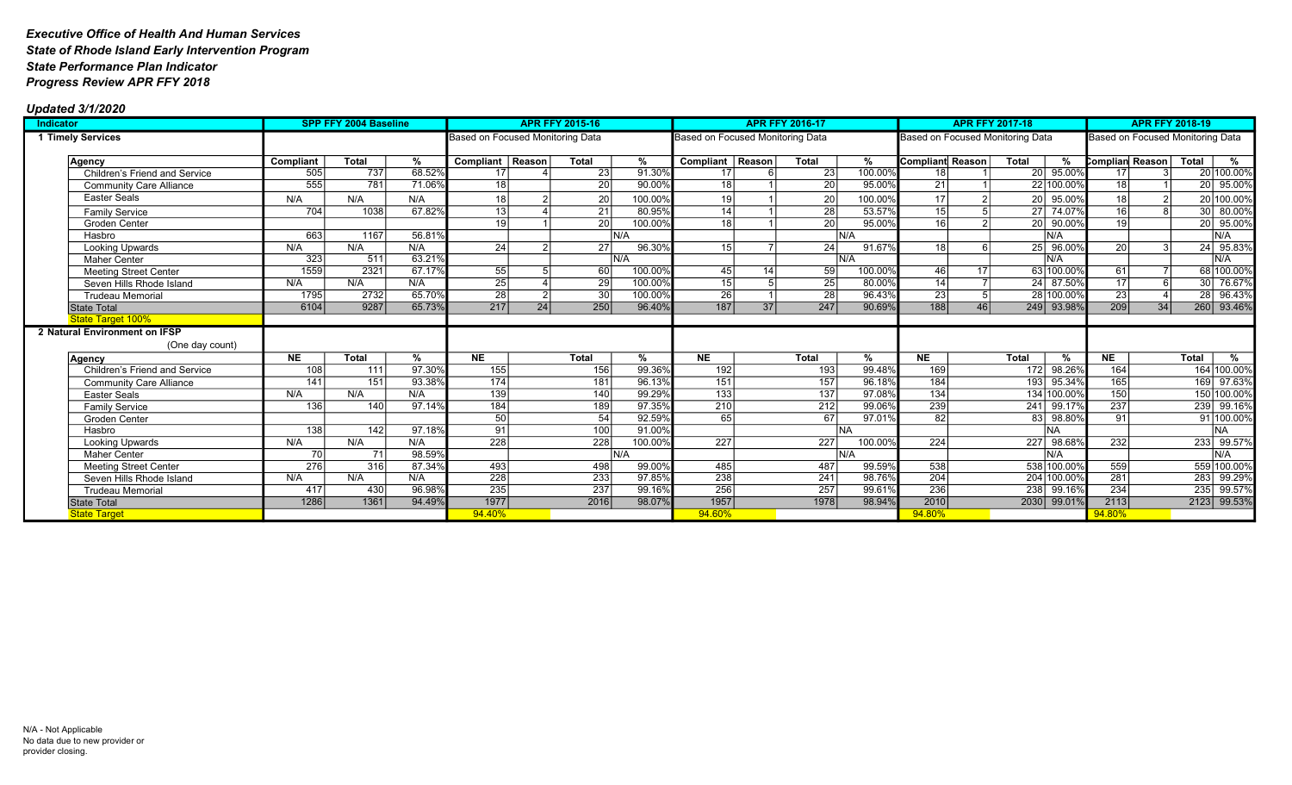| Indicator                      |                  | <b>SPP FFY 2004 Baseline</b> |               | <b>APR FFY 2015-16</b>           |    |                  |               | <b>APR FFY 2016-17</b>           |            |                  |               |                                  | <b>APR FFY 2017-18</b> | <b>APR FFY 2018-19</b>           |                 |    |              |               |
|--------------------------------|------------------|------------------------------|---------------|----------------------------------|----|------------------|---------------|----------------------------------|------------|------------------|---------------|----------------------------------|------------------------|----------------------------------|-----------------|----|--------------|---------------|
| 1 Timely Services              |                  |                              |               | Based on Focused Monitoring Data |    |                  |               | Based on Focused Monitoring Data |            |                  |               | Based on Focused Monitoring Data |                        | Based on Focused Monitoring Data |                 |    |              |               |
|                                |                  |                              |               |                                  |    |                  |               |                                  |            |                  |               |                                  |                        |                                  |                 |    |              |               |
| Agency                         | Compliant        | <b>Total</b>                 | %             | Compliant Reason                 |    | Total            | %             | Compliant   Reason               |            | <b>Total</b>     | %             | Compliant Reason                 | <b>Total</b>           | %                                | Complian Reason |    | <b>Total</b> | %             |
| Children's Friend and Service  | 505              | 737                          | 68.52%        | 17                               |    | $\overline{23}$  | 91.30%        | 17                               | $\epsilon$ | $\overline{23}$  | 100.00%       | 18                               |                        | 20 95.00%                        | 17              |    |              | 20 100.00%    |
| <b>Community Care Alliance</b> | 555              | 781                          | 71.06%        | 18                               |    | $\overline{20}$  | 90.00         | 18                               |            | $\overline{20}$  | 95.00%        | $\overline{21}$                  |                        | 22 100.00%                       | 18 <sup>1</sup> |    | 20           | 95.00%        |
| Easter Seals                   | N/A              | N/A                          | N/A           |                                  |    | 20               | 100.00%       | 19                               |            | 20               | 100.00%       | 17                               | 20 L                   | 95.00%                           | 18              |    |              | 20 100.00%    |
| <b>Family Service</b>          | 704              | 1038                         | 67.82%        | 13 <sup>1</sup>                  |    | $\overline{21}$  | 80.95%        | 14                               |            | 28               | 53.57%        | $\overline{15}$                  | 27 <sup>1</sup>        | 74.07%                           | 16              |    |              | 30 80.00%     |
| Groden Center                  |                  |                              |               | 19 <sup>1</sup>                  |    | $\overline{20}$  | 100.00%       | 18                               |            | 20               | 95.00%        | 16                               | 21                     | 20 90.00%                        | 19 <sup>1</sup> |    |              | 20 95.00%     |
| Hasbro                         | 663              | 1167                         | 56.81%        |                                  |    |                  | IN/A          |                                  |            |                  | IN/A          |                                  |                        | IN/A                             |                 |    |              | IN/A          |
| Looking Upwards                | N/A              | N/A                          | N/A           | 24                               |    | 27               | 96.30%        | 15 <sup>1</sup>                  |            | 24               | 91.67%        | 18                               |                        | 25 96.00%                        | 20              |    |              | 24 95.83%     |
| <b>Maher Center</b>            | 323              | 511                          | 63.21%        |                                  |    |                  | IN/A          |                                  |            |                  | N/A           |                                  |                        | N/A                              |                 |    |              | N/A           |
| <b>Meeting Street Center</b>   | 1559             | 2321                         | 67.17%        | 55                               |    | 60               | 100.00%       | 45 <sub>l</sub>                  | 14         | 59               | 100.00%       | 46                               | 17 <sup>1</sup>        | 63 100.00%                       | 61              |    |              | 68 100.00%    |
| Seven Hills Rhode Island       | N/A              | N/A                          | N/A           | 25                               |    | $\overline{29}$  | 100.00%       | 15                               |            | 25               | 80.00%        | $\overline{14}$                  |                        | 24 87.50%                        | $\overline{17}$ |    | 30 I         | 76.67%        |
| <b>Trudeau Memorial</b>        | 1795             | 2732                         | 65.70%        | $\overline{28}$                  |    | $\overline{30}$  | 100.00%       | 26                               |            | $\overline{28}$  | 96.43%        | $\overline{23}$                  |                        | 28 100.00%                       | $\overline{23}$ |    |              | 28 96.43%     |
| <b>State Total</b>             | 6104             | 9287                         | 65.73%        | 217                              | 24 | 250              | 96.40%        | 187                              | 37         | 247              | 90.69%        | $\boxed{188}$                    | 46                     | 249 93.98%                       | 209             | 34 |              | 260 93.46%    |
| <b>State Target 100%</b>       |                  |                              |               |                                  |    |                  |               |                                  |            |                  |               |                                  |                        |                                  |                 |    |              |               |
| 2 Natural Environment on IFSP  |                  |                              |               |                                  |    |                  |               |                                  |            |                  |               |                                  |                        |                                  |                 |    |              |               |
| (One day count)                |                  |                              |               |                                  |    |                  |               |                                  |            |                  |               |                                  |                        |                                  |                 |    |              |               |
| Agency                         | NE               | Total                        | $\frac{9}{6}$ | N <sub>E</sub>                   |    | Total            | $\frac{9}{6}$ | NE                               |            | <b>Total</b>     | $\frac{9}{6}$ | NE                               | <b>Total</b>           | $\frac{9}{6}$                    | NE              |    | <b>Total</b> | $\frac{9}{6}$ |
| Children's Friend and Service  | 108              | 111                          | 97.30%        | 155                              |    | 156              | 99.36%        | 192                              |            | 193              | 99.48%        | 169                              | 172                    | 98.26%                           | 164             |    |              | 164 100.00%   |
| <b>Community Care Alliance</b> | 141              | 151                          | 93.38%        | 174                              |    | 181              | 96.13%        | 151                              |            | 157              | 96.18%        | 184                              | 193 <sup>2</sup>       | 95.34%                           | 165             |    |              | 169 97.63%    |
| Easter Seals                   | N/A              | N/A                          | N/A           | 139                              |    | 140              | 99.29%        | 133                              |            | $\overline{137}$ | 97.08%        | 134                              |                        | 134 100.00%                      | 150             |    |              | 150 100.00%   |
| <b>Family Service</b>          | 136              | $\overline{140}$             | 97.14%        | 184                              |    | 189              | 97.35%        | $\overline{210}$                 |            | $\overline{212}$ | 99.06%        | 239                              | 241                    | 99.17%                           | 237             |    |              | 239 99.16%    |
| Groden Center                  |                  |                              |               | $\overline{50}$                  |    | $\overline{54}$  | 92.59%        | 65                               |            | 67               | 97.01%        | $\overline{82}$                  | 83                     | 98.80%                           | $\overline{91}$ |    |              | 91 100.00%    |
| Hasbro                         | $\overline{138}$ | 142                          | 97.18%        | 91                               |    | 100              | 91.00%        |                                  |            |                  | INA.          |                                  |                        | <b>NA</b>                        |                 |    |              | <b>NA</b>     |
| Looking Upwards                | N/A              | N/A                          | N/A           | $\overline{228}$                 |    | $\overline{228}$ | 100.00%       | $\overline{227}$                 |            | 227              | 100.00%       | $\overline{224}$                 | 227                    | 98.68%                           | 232             |    | 233          | 99.57%        |
| <b>Maher Center</b>            | 70               | 71                           | 98.59%        |                                  |    |                  | IN/A          |                                  |            |                  | IN/A          |                                  |                        | N/A                              |                 |    |              | IN/A          |
| <b>Meeting Street Center</b>   | $\overline{276}$ | 316                          | 87.34%        | 493                              |    | 498              | 99.00%        | 485                              |            | 487              | 99.59%        | 538                              |                        | 538 100.00%                      | 559             |    |              | 559 100.00%   |
| Seven Hills Rhode Island       | N/A              | N/A                          | N/A           | 228                              |    | 233              | 97.85%        | 238                              |            | $\overline{241}$ | 98.76%        | 204                              |                        | 204 100.00%                      | 281             |    | 283          | 99.29%        |
| <b>Trudeau Memorial</b>        | 417              | 430                          | 96.98%        | 235                              |    | 237              | 99.16%        | 256                              |            | $\overline{257}$ | 99.61%        | $\overline{236}$                 |                        | 238 99.16%                       | 234             |    |              | 235 99.57%    |
| <b>State Total</b>             | 1286             | 1361                         | 94.49%        | 1977                             |    | 2016             | 98.07%        | 1957                             |            | 1978             | 98.94%        | 2010                             |                        | 2030 99.01%                      | 2113            |    |              | 2123 99.53%   |
| <b>State Target</b>            |                  |                              |               | 94.40%                           |    |                  |               | 94.60%                           |            |                  |               | 94.80%                           |                        |                                  | 94.80%          |    |              |               |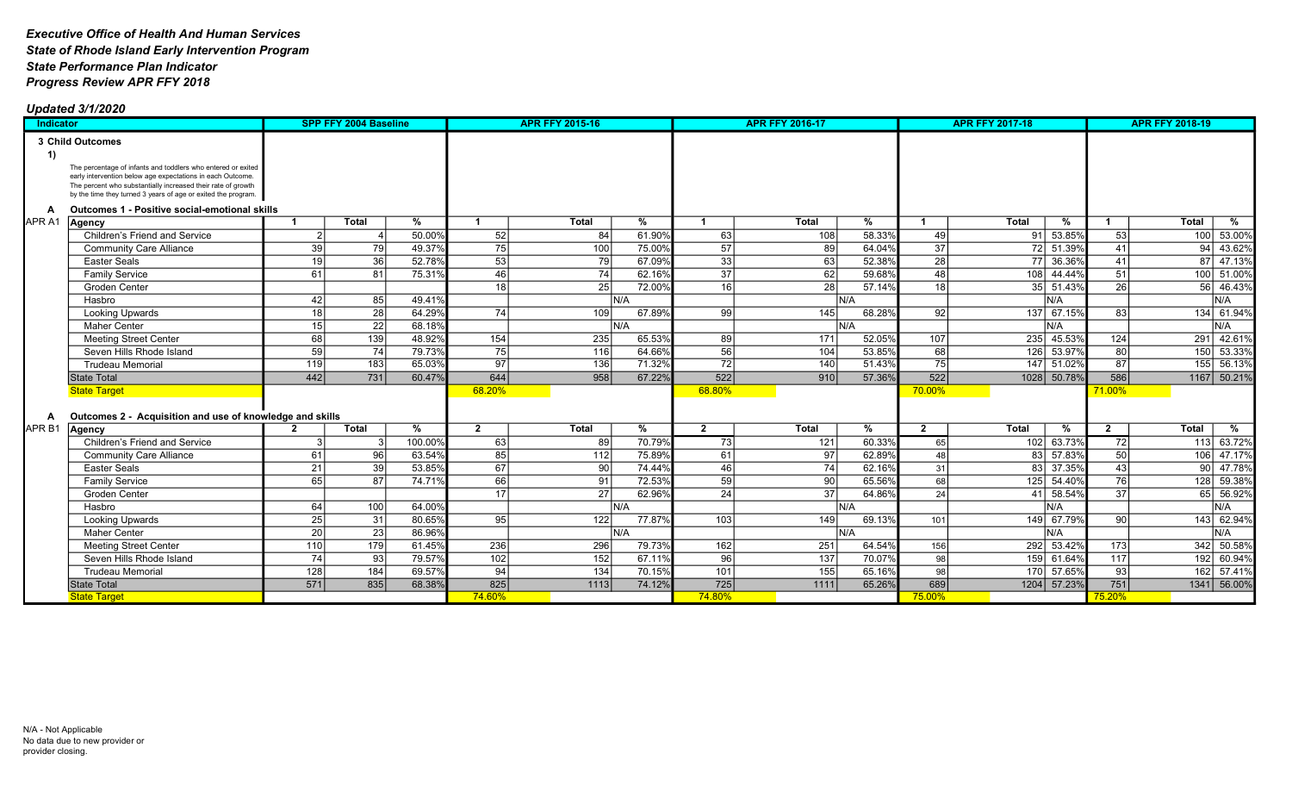| <b>Indicator</b>  |                                                                                                                                                                                                                                                             |                 | <b>SPP FFY 2004 Baseline</b> |         |                | <b>APR FFY 2015-16</b> |        |                 | <b>APR FFY 2016-17</b> |        |                         | <b>APR FFY 2017-18</b> |             |                 | <b>APR FFY 2018-19</b> |             |
|-------------------|-------------------------------------------------------------------------------------------------------------------------------------------------------------------------------------------------------------------------------------------------------------|-----------------|------------------------------|---------|----------------|------------------------|--------|-----------------|------------------------|--------|-------------------------|------------------------|-------------|-----------------|------------------------|-------------|
|                   | 3 Child Outcomes                                                                                                                                                                                                                                            |                 |                              |         |                |                        |        |                 |                        |        |                         |                        |             |                 |                        |             |
| 1)                |                                                                                                                                                                                                                                                             |                 |                              |         |                |                        |        |                 |                        |        |                         |                        |             |                 |                        |             |
|                   | The percentage of infants and toddlers who entered or exited<br>early intervention below age expectations in each Outcome.<br>The percent who substantially increased their rate of growth<br>by the time they turned 3 years of age or exited the program. |                 |                              |         |                |                        |        |                 |                        |        |                         |                        |             |                 |                        |             |
| A                 | Outcomes 1 - Positive social-emotional skills                                                                                                                                                                                                               |                 |                              |         |                |                        |        |                 |                        |        |                         |                        |             |                 |                        |             |
| APR A1            | Agency                                                                                                                                                                                                                                                      | -1              | Total                        | %       | -1             | <b>Total</b>           | %      | $\mathbf 1$     | <b>Total</b>           | %      |                         | <b>Total</b>           | %           |                 | <b>Total</b>           | %           |
|                   | <b>Children's Friend and Service</b>                                                                                                                                                                                                                        |                 |                              | 50.00%  | 52             | 84                     | 61.90% | 63              | 108                    | 58.33% | 49                      |                        | 91 53.85%   | 53              | 100                    | 53.00%      |
|                   | <b>Community Care Alliance</b>                                                                                                                                                                                                                              | 39              | 79                           | 49.37%  | 75             | 100                    | 75.00% | $\overline{57}$ | 89                     | 64.04% | $\overline{37}$         |                        | 72 51.39%   | 41              | 94                     | 43.62%      |
|                   | <b>Easter Seals</b>                                                                                                                                                                                                                                         | 19              | 36                           | 52.78%  | 53             | 79                     | 67.09% | $\overline{33}$ | 63                     | 52.38% | $\overline{28}$         |                        | 77 36.36%   | 41              | 87                     | 47.13%      |
|                   | <b>Family Service</b>                                                                                                                                                                                                                                       | 61              | 81                           | 75.31%  | 46             | 74                     | 62.16% | 37              | 62                     | 59.68% | 48                      |                        | 108 44.44%  | 51              | 100                    | 51.00%      |
|                   | <b>Groden Center</b>                                                                                                                                                                                                                                        |                 |                              |         | 18             | 25                     | 72.00% | 16              | 28                     | 57.14% | 18                      |                        | 35 51.43%   | 26              | 56                     | 46.43%      |
|                   | Hasbro                                                                                                                                                                                                                                                      | 42              | 85                           | 49.41%  |                |                        | N/A    |                 |                        | İN/A   |                         |                        | N/A         |                 |                        | N/A         |
|                   | <b>Looking Upwards</b>                                                                                                                                                                                                                                      | 18              | 28                           | 64.29%  | 74             | 109                    | 67.89% | 99              | 145                    | 68.28% | 92                      |                        | 137 67.15%  | 83              | 134                    | 61.94%      |
|                   | <b>Maher Center</b>                                                                                                                                                                                                                                         | 15              | 22                           | 68.18%  |                |                        | IN/A   |                 |                        | İN/A   |                         |                        | IN/A        |                 |                        | N/A         |
|                   | <b>Meeting Street Center</b>                                                                                                                                                                                                                                | 68              | $\overline{139}$             | 48.92%  | 154            | 235                    | 65.53% | 89              | 171                    | 52.05% | 107                     |                        | 235 45.53%  | 124             | 291                    | 42.61%      |
|                   | Seven Hills Rhode Island                                                                                                                                                                                                                                    | 59              | 74                           | 79.73%  | 75             | 116                    | 64.66% | 56              | 104                    | 53.85% | 68                      |                        | 126 53.97%  | 80              | 150                    | 53.33%      |
|                   | <b>Trudeau Memorial</b>                                                                                                                                                                                                                                     | 119             | 183                          | 65.03%  | 97             | 136                    | 71.32% | 72              | 140                    | 51.43% | 75                      |                        | 147 51.02%  | 87              | 155                    | 56.13%      |
|                   | <b>State Total</b>                                                                                                                                                                                                                                          | 442             | 731                          | 60.47%  | 644            | 958                    | 67.22% | 522             | 910                    | 57.36% | 522                     |                        | 1028 50.78% | 586             |                        | 1167 50.21% |
|                   | <b>State Target</b>                                                                                                                                                                                                                                         |                 |                              |         | 68.20%         |                        |        | 68.80%          |                        |        | 70.00%                  |                        |             | 71.00%          |                        |             |
|                   |                                                                                                                                                                                                                                                             |                 |                              |         |                |                        |        |                 |                        |        |                         |                        |             |                 |                        |             |
| A                 | Outcomes 2 - Acquisition and use of knowledge and skills                                                                                                                                                                                                    |                 |                              |         |                |                        |        |                 |                        |        |                         |                        |             |                 |                        |             |
| APR <sub>B1</sub> | Agency                                                                                                                                                                                                                                                      | $\overline{2}$  | <b>Total</b>                 | %       | $\overline{2}$ | <b>Total</b>           | %      | $\overline{2}$  | <b>Total</b>           | %      | $\overline{\mathbf{2}}$ | <b>Total</b>           | %           | $\overline{2}$  | <b>Total</b>           | %           |
|                   | Children's Friend and Service                                                                                                                                                                                                                               |                 |                              | 100.00% | 63             | 89                     | 70.79% | 73              | 121                    | 60.33% | 65                      |                        | 102 63.73%  | 72              | 113                    | 63.72%      |
|                   | <b>Community Care Alliance</b>                                                                                                                                                                                                                              | 61              | 96                           | 63.54%  | 85             | 112                    | 75.89% | 61              | 97                     | 62.89% | 48                      |                        | 83 57.83%   | 50              | 106                    | 47.17%      |
|                   | <b>Easter Seals</b>                                                                                                                                                                                                                                         | $\overline{21}$ | 39                           | 53.85%  | 67             | 90                     | 74.44% | 46              | 74                     | 62.16% | 31                      |                        | 83 37.35%   | 43              | 90 <sup>1</sup>        | 47.78%      |
|                   | <b>Family Service</b>                                                                                                                                                                                                                                       | 65              | 87                           | 74.71%  | 66             | 91                     | 72.53% | 59              | 90                     | 65.56% | 68                      |                        | 125 54.40%  | 76              | 128                    | 59.38%      |
|                   | Groden Center                                                                                                                                                                                                                                               |                 |                              |         | 17             | 27                     | 62.96% | 24              | 37                     | 64.86% | 24                      |                        | 41 58.54%   | $\overline{37}$ | 65 <sup>1</sup>        | 56.92%      |
|                   | Hasbro                                                                                                                                                                                                                                                      | 64              | 100                          | 64.00%  |                |                        | N/A    |                 |                        | İN/A   |                         |                        | N/A         |                 |                        | N/A         |
|                   | <b>Looking Upwards</b>                                                                                                                                                                                                                                      | 25              | 31                           | 80.65%  | 95             | 122                    | 77.87% | 103             | 149                    | 69.13% | 101                     |                        | 149 67.79%  | 90              |                        | 143 62.94%  |
|                   | <b>Maher Center</b>                                                                                                                                                                                                                                         | 20              | 23                           | 86.96%  |                |                        | N/A    |                 |                        | İN/A   |                         |                        | IN/A        |                 |                        | N/A         |
|                   | <b>Meeting Street Center</b>                                                                                                                                                                                                                                | 110             | 179                          | 61.45%  | 236            | 296                    | 79.73% | 162             | 251                    | 64.54% | 156                     |                        | 292 53.42%  | 173             |                        | 342 50.58%  |
|                   | Seven Hills Rhode Island                                                                                                                                                                                                                                    | 74              | -931                         | 79.57%  | 102            | 152                    | 67.11% | 96              | 137                    | 70.07% | 98                      |                        | 159 61.64%  | 117             | 192                    | 60.94%      |
|                   | <b>Trudeau Memorial</b>                                                                                                                                                                                                                                     | 128             | 184                          | 69.57%  | 94             | $\overline{134}$       | 70.15% | 101             | $\overline{155}$       | 65.16% | 98                      |                        | 170 57.65%  | 93              |                        | 162 57.41%  |
|                   | <b>State Total</b>                                                                                                                                                                                                                                          | 571             | 835                          | 68.38%  | 825            | 1113                   | 74.12% | 725             | 1111                   | 65.26% | 689                     |                        | 1204 57.23% | 751             |                        | 1341 56.00% |
|                   | <b>State Target</b>                                                                                                                                                                                                                                         |                 |                              |         | 74.60%         |                        |        | 74.80%          |                        |        | 75.00%                  |                        |             | 75.20%          |                        |             |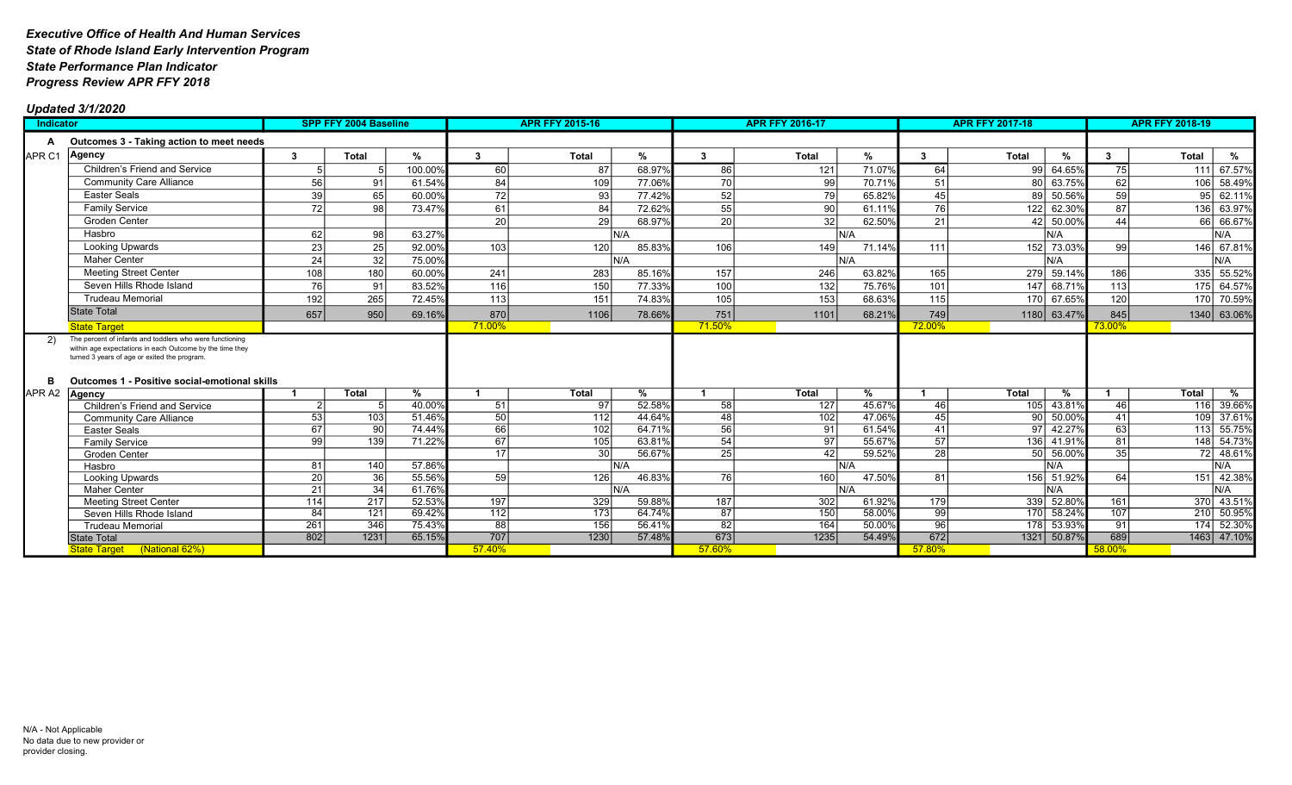| Indicator         |                                                                                                                                                                                                                              | <b>SPP FFY 2004 Baseline</b> |                 |         | <b>APR FFY 2015-16</b> |                  |        |                 | <b>APR FFY 2016-17</b> |                |                 | <b>APR FFY 2017-18</b> | <b>APR FFY 2018-19</b> |                 |                       |
|-------------------|------------------------------------------------------------------------------------------------------------------------------------------------------------------------------------------------------------------------------|------------------------------|-----------------|---------|------------------------|------------------|--------|-----------------|------------------------|----------------|-----------------|------------------------|------------------------|-----------------|-----------------------|
| A                 | Outcomes 3 - Taking action to meet needs                                                                                                                                                                                     |                              |                 |         |                        |                  |        |                 |                        |                |                 |                        |                        |                 |                       |
| APR <sub>C1</sub> | Agency                                                                                                                                                                                                                       | 3                            | <b>Total</b>    | %       | 3                      | <b>Total</b>     | %      | 3               | <b>Total</b>           | %              | 3               | <b>Total</b>           | $\%$                   | 3               | <b>Total</b><br>%     |
|                   | Children's Friend and Service                                                                                                                                                                                                |                              |                 | 100.00% | 60                     | 87               | 68.97% | 86              | 121                    | 71.07%         | 64              | 99                     | 64.65%                 | 75              | 67.57%<br>111         |
|                   | <b>Community Care Alliance</b>                                                                                                                                                                                               | 56                           | 91              | 61.54%  | 84                     | 109              | 77.06% | 70              | 99                     | 70.71%         | 51              | 80 l                   | 63.75%                 | 62              | 58.49%<br>106         |
|                   | <b>Easter Seals</b>                                                                                                                                                                                                          | 39                           | 65              | 60.00%  | 72                     | 93               | 77.42% | 52              | 79                     | 65.82%         | 45              | 89                     | 50.56%                 | $\overline{59}$ | 62.11%<br>95          |
|                   | <b>Family Service</b>                                                                                                                                                                                                        | 72                           | 98              | 73.47%  | 61                     | 84               | 72.62% | $\overline{55}$ | 90                     | 61.11%         | 76              | 122                    | 62.30%                 | 87              | 63.97%<br>136         |
|                   | Groden Center                                                                                                                                                                                                                |                              |                 |         | 20                     | 29               | 68.97% | $\overline{20}$ | 32 <sub>l</sub>        | 62.50%         | $\overline{21}$ | 42                     | 50.00%                 | 44              | 66.67%<br>66          |
|                   | Hasbro                                                                                                                                                                                                                       | 62                           | 98              | 63.27%  |                        | IN/A             |        |                 |                        | IN/A           |                 |                        | IN/A                   |                 | N/A                   |
|                   | Looking Upwards                                                                                                                                                                                                              | 23                           | 25              | 92.00%  | 103                    | 120              | 85.83% | 106             | 149                    | 71.14%         | 111             |                        | 152 73.03%             | 99              | 67.81%<br>146         |
|                   | <b>Maher Center</b>                                                                                                                                                                                                          | 24                           | 32              | 75.00%  |                        | N/A              |        |                 |                        | İN/A           |                 |                        | N/A                    |                 | N/A                   |
|                   | <b>Meeting Street Center</b>                                                                                                                                                                                                 | 108                          | 180             | 60.00%  | 241                    | 283              | 85.16% | 157             | 246                    | 63.82%         | 165             |                        | 279 59.14%             | 186             | 335<br>55.52%         |
|                   | Seven Hills Rhode Island                                                                                                                                                                                                     | 76                           | 91              | 83.52%  | 116                    | 150              | 77.33% | 100             | 132                    | 75.76%         | 101             |                        | 147 68.71%             | 113             | 64.57%<br>175         |
|                   | <b>Trudeau Memorial</b>                                                                                                                                                                                                      | 192                          | 265             | 72.45%  | 113                    | 151              | 74.83% | 105             | 153                    | 68.63%         | 115             |                        | 170 67.65%             | 120             | 70.59%<br>170         |
|                   | <b>State Total</b>                                                                                                                                                                                                           | 657                          | 950             | 69.16%  | 870                    | 1106             | 78.66% | 751             | 1101                   | 68.21%         | 749             |                        | 1180 63.47%            | 845             | 1340 63.06%           |
|                   | <b>State Target</b>                                                                                                                                                                                                          |                              |                 |         | 71.00%                 |                  |        | 71.50%          |                        |                | 72.00%          |                        |                        | 73.00%          |                       |
| -2)<br>в          | The percent of infants and toddlers who were functioning<br>within age expectations in each Outcome by the time they<br>turned 3 years of age or exited the program.<br><b>Outcomes 1 - Positive social-emotional skills</b> |                              |                 |         |                        |                  |        |                 |                        |                |                 |                        |                        |                 |                       |
| APR <sub>A2</sub> | Agency                                                                                                                                                                                                                       |                              | <b>Total</b>    | %       |                        | <b>Total</b>     | %      |                 | <b>Total</b>           | %              |                 | <b>Total</b>           | %                      |                 | <b>Total</b><br>%     |
|                   | Children's Friend and Service                                                                                                                                                                                                |                              |                 | 40.00%  | 51                     | 97               | 52.58% | $\overline{58}$ | $\overline{127}$       | 45.67%         | 46              | 105 <sup> </sup>       | 43.81%                 | 46              | 39.66%<br>116         |
|                   | <b>Community Care Alliance</b>                                                                                                                                                                                               | 53                           | 103             | 51.46%  | 50                     | $\boxed{112}$    | 44.64% | 48              | 102                    | 47.06%         | 45              | 90 l                   | 50.00%                 | 41              | 37.61%<br>109         |
|                   | <b>Easter Seals</b>                                                                                                                                                                                                          | 67                           | $\overline{90}$ | 74.44%  | 66                     | 102              | 64.71% | 56              | 91                     | 61.54%         | 41              | 97                     | 42.27%                 | 63              | 55.75%<br>113         |
|                   | <b>Family Service</b>                                                                                                                                                                                                        | 99                           | 139             | 71.22%  | 67                     | 105              | 63.81% | 54              | 97                     | 55.67%         | 57              | 136                    | 41.91%                 | 81              | 148 54.73%            |
|                   | Groden Center                                                                                                                                                                                                                | 81                           | 140             | 57.86%  | 17                     | 30<br>N/A        | 56.67% | $\overline{25}$ | 42                     | 59.52%<br>IN/A | $\overline{28}$ | 50 <sub>1</sub>        | 56.00%<br>N/A          | $\overline{35}$ | 48.61%<br>72 l<br>N/A |
|                   | Hasbro<br>Looking Upwards                                                                                                                                                                                                    | 20                           | 36              | 55.56%  | 59                     | 126              | 46.83% | 76              | 160                    | 47.50%         | 81              |                        | 156 51.92%             | 64              | 42.38%<br>151         |
|                   | <b>Maher Center</b>                                                                                                                                                                                                          | $\overline{21}$              | 34              | 61.76%  |                        | N/A              |        |                 |                        | IN/A           |                 |                        | N/A                    |                 | N/A                   |
|                   | <b>Meeting Street Center</b>                                                                                                                                                                                                 | 114                          | 217             | 52.53%  | 197                    | 329              | 59.88% | 187             | 302                    | 61.92%         | 179             |                        | 339 52.80%             | 161             | 370 43.51%            |
|                   | Seven Hills Rhode Island                                                                                                                                                                                                     | 84                           | 121             | 69.42%  | 112                    | $\overline{173}$ | 64.74% | 87              | 150                    | 58.00%         | 99              |                        | 170 58.24%             | 107             | 210 50.95%            |
|                   | <b>Trudeau Memorial</b>                                                                                                                                                                                                      | 261                          | 346             | 75.43%  | 88                     | 156              | 56.41% | $\overline{82}$ | 164                    | 50.00%         | 96              |                        | 178 53.93%             | 91              | 174 52.30%            |
|                   | <b>State Total</b>                                                                                                                                                                                                           | 802                          | 1231            | 65.15%  | 707                    | 1230             | 57.48% | 673             | 1235                   | 54.49%         | 672             |                        | 1321 50.87%            | 689             | 1463 47.10%           |
|                   | State Target (National 62%)                                                                                                                                                                                                  |                              |                 |         | 57.40%                 |                  |        | 57.60%          |                        |                | 57.80%          |                        |                        | 58.00%          |                       |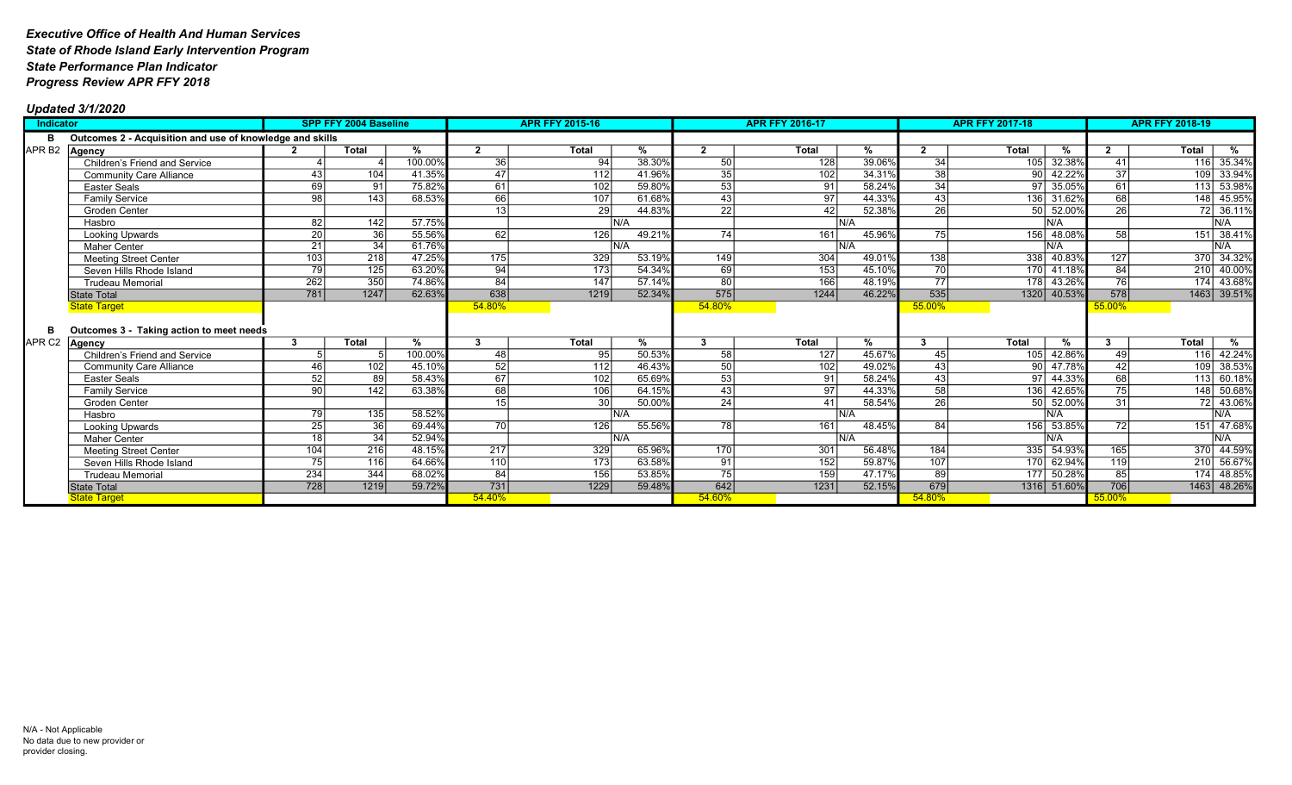| Indicator         |                                                          |                  | SPP FFY 2004 Baseline |               |                  | <b>APR FFY 2015-16</b> |               |                        | <b>APR FFY 2016-17</b> |               | <b>APR FFY 2017-18</b> | <b>APR FFY 2018-19</b> |                 |                  |              |                   |
|-------------------|----------------------------------------------------------|------------------|-----------------------|---------------|------------------|------------------------|---------------|------------------------|------------------------|---------------|------------------------|------------------------|-----------------|------------------|--------------|-------------------|
| в                 | Outcomes 2 - Acquisition and use of knowledge and skills |                  |                       |               |                  |                        |               |                        |                        |               |                        |                        |                 |                  |              |                   |
| APR <sub>B2</sub> | Agency                                                   |                  | <b>Total</b>          | %             | $\overline{2}$   | Total                  | %             | $\mathbf{2}$           | Total                  | %             |                        | <b>Total</b>           | %               |                  | Total        | %                 |
|                   | Children's Friend and Service                            |                  |                       | 100.00%       | 36               | 94                     | 38.30%        | 50                     | 128                    | 39.06%        | 34                     | 105                    | 32.38%          | 41               |              | 116 35.34%        |
|                   | <b>Community Care Alliance</b>                           | 43               | 104                   | 41.35%        | 47               | 112                    | 41.96         | $\overline{35}$        | 102                    | 34.31%        | $\overline{38}$        |                        | 42.22%          | $\overline{37}$  | 109          | 33.94%            |
|                   | <b>Easter Seals</b>                                      | 69               | 91                    | 75.82%        | 61               | 102                    | 59.80%        | 53                     | 91                     | 58.24%        | 34                     | 97 <sup>1</sup>        | 35.05%          | 61               | 113          | 53.98%            |
|                   | <b>Family Service</b>                                    | 98               | $\overline{143}$      | 68.53%        | 66               | 107                    | 61.68%        | $\overline{43}$        | 97 <sup>1</sup>        | 44.33%        | 43                     | 136                    | 31.62%          | 68               | 148          | 45.95%            |
|                   | Groden Center                                            |                  |                       |               | 13               | 29                     | 44.839        | $\overline{22}$        | 421                    | 52.38%        | $\overline{26}$        | 50 l                   | 52.00%          | $\overline{26}$  | 72           | 36.11%            |
|                   | Hasbro                                                   | 82               | 142                   | 57.75%        |                  |                        | N/A           |                        | IN/A                   |               |                        |                        | N/A             |                  |              | N/A               |
|                   | Looking Upwards                                          | 20               | 36                    | 55.56%        | 62               | 126                    | 49.21%        | $\overline{74}$<br>161 |                        | 45.96%        | 75                     | 156                    | 48.08%          | 58               | 151          | 38.41%            |
|                   | <b>Maher Center</b>                                      | 21               | 34                    | 61.76%        |                  |                        | N/A           |                        | IN/A                   |               |                        |                        | N/A             |                  |              | N/A               |
|                   | <b>Meeting Street Center</b>                             | 103              | 218                   | 47.25%        | $\overline{175}$ | 329                    | 53.19%        | 149                    | 304                    | 49.01%        | 138                    | 338                    | 40.83%          | $\overline{127}$ |              | 370 34.32%        |
|                   | Seven Hills Rhode Island                                 | 79               | 125                   | 63.20%        | 94               | 173                    | 54.34%        | 69                     | 153                    | 45.10%        | 70                     |                        | 170 41.18%      | 84               | 210          | 40.00%            |
|                   | <b>Trudeau Memorial</b>                                  | $\overline{262}$ | 350                   | 74.86%        | 84               | 147                    | 57.14%        | $\overline{80}$        | 166                    | 48.19%        | 77                     |                        | 43.26%<br>178 l | 76               | 174          | 43.68%            |
|                   | <b>State Total</b>                                       | 781              | 1247                  | 62.63%        | 638              | 1219                   | 52.34%        | 575                    | 1244                   | 46.22%        | 535                    |                        | 1320 40.53%     | 578              |              | 1463 39.51%       |
|                   | <b>State Target</b>                                      |                  |                       |               | 54.80%           |                        |               | 54.80%                 |                        |               | 55.00%                 |                        |                 | 55.00%           |              |                   |
|                   |                                                          |                  |                       |               |                  |                        |               |                        |                        |               |                        |                        |                 |                  |              |                   |
| в                 | Outcomes 3 - Taking action to meet needs                 |                  |                       |               |                  |                        |               |                        |                        |               |                        |                        |                 |                  |              |                   |
| APR C2 Agency     |                                                          | 3                | <b>Total</b>          | $\frac{9}{6}$ | $\mathbf{R}$     | <b>Total</b>           | $\frac{9}{6}$ | 3                      | <b>Total</b>           | $\frac{9}{6}$ |                        | <b>Total</b>           | $\frac{9}{6}$   |                  | <b>Total</b> | $\sqrt[6]{\cdot}$ |
|                   | Children's Friend and Service                            |                  |                       | 100.00%       | 48               | 95                     | 50.53%        | 58                     | 127                    | 45.67%        | 45                     | 105                    | 42.86%          | 49               | 116          | 42.24%            |
|                   | <b>Community Care Alliance</b>                           | 46               | 102                   | 45.10%        | 52               | 112                    | 46.43%        | 50                     | 102                    | 49.02%        | 43                     | 90 <sup>1</sup>        | 47.78%          | 42               | 109          | 38.53%            |
|                   | <b>Easter Seals</b>                                      | 52               | 89                    | 58.43%        | 67               | 102                    | 65.699        | 53                     | 91                     | 58.24%        | 43                     | 97                     | 44.33%          | 68               | 113          | 60.18%            |
|                   | <b>Family Service</b>                                    | 90               | 142                   | 63.38%        | 68               | 106                    | 64.15%        | 43                     | 97                     | 44.33%        | $\overline{58}$        | 136                    | 42.65%          | $\overline{75}$  | 148          | 50.68%            |
|                   | Groden Center                                            |                  |                       |               | 15               | 30 <sup>1</sup>        | 50.009        | $\overline{24}$        | 41                     | 58.54%        | $\overline{26}$        | 50 l                   | 52.00%          | 31               |              | 72 43.06%         |
|                   | Hasbro                                                   | 79               | 135                   | 58.52%        |                  |                        | N/A           |                        | N/A                    |               |                        |                        | N/A             |                  |              | N/A               |
|                   | Looking Upwards                                          | $\overline{25}$  | 36                    | 69.44%        | 70 l             | 126                    | 55.56%        | 78                     | 161                    | 48.45%        | 84                     |                        | 156 53.85%      | 72               | 151          | 47.68%            |
|                   | <b>Maher Center</b>                                      | 18               | 34                    | 52.94%        |                  |                        | N/A           |                        | IN/A                   |               |                        |                        | N/A             |                  |              | N/A               |
|                   | <b>Meeting Street Center</b>                             | 104              | $\overline{216}$      | 48.15%        | $\overline{217}$ | 329                    | 65.96%        | 170                    | 301                    | 56.48%        | 184                    |                        | 335 54.93%      | 165              |              | 370 44.59%        |
|                   | Seven Hills Rhode Island                                 | 75               | 116                   | 64.66%        | 110              | 173                    | 63.58%        | 91                     | 152                    | 59.87%        | 107                    |                        | 170 62.94%      | 119              | 210          | 56.67%            |
|                   | <b>Trudeau Memorial</b>                                  | 234              | 344                   | 68.02%        | 84               | 156                    | 53.85%        | $\overline{75}$        | 159                    | 47.17%        | 89                     | 177                    | 50.28%          | 85               | 174          | 48.85%            |
|                   | State Total                                              | 728              | 1219                  | 59.72%        | $\overline{731}$ | 1229                   | 59.48%        | 642                    | 1231                   | 52.15%        | 679                    |                        | 1316 51.60%     | 706              |              | 1463 48.26%       |
|                   | <b>State Target</b>                                      |                  |                       |               | 54.40%           |                        |               | 54.60%                 |                        |               | 54.80%                 |                        |                 | 55.00%           |              |                   |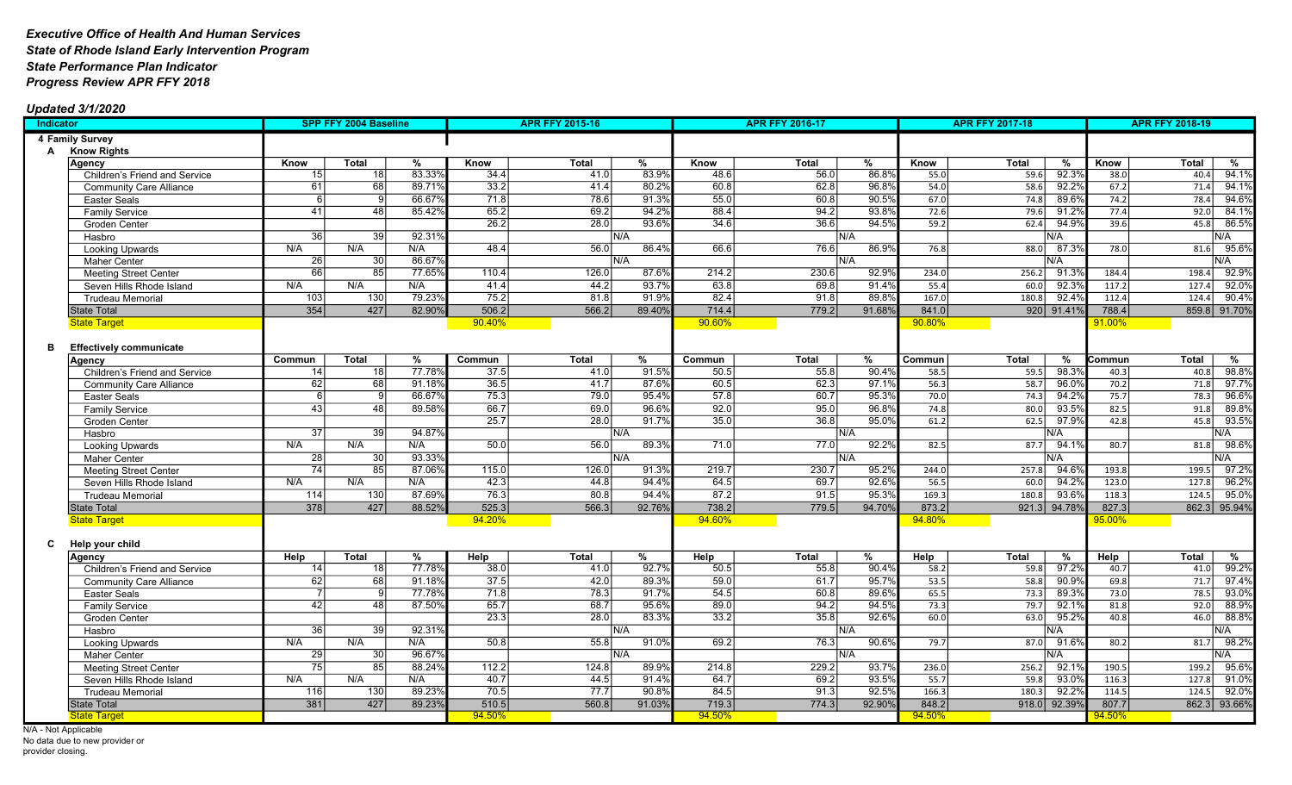### Updated 3/1/2020

| Indicator |                                |                 | SPP FFY 2004 Baseline |        |        | <b>APR FFY 2015-16</b> |        | <b>APR FFY 2016-17</b> |       |                 |                   | <b>APR FFY 2017-18</b> | <b>APR FFY 2018-19</b> |        |              |       |
|-----------|--------------------------------|-----------------|-----------------------|--------|--------|------------------------|--------|------------------------|-------|-----------------|-------------------|------------------------|------------------------|--------|--------------|-------|
|           | 4 Family Survey                |                 |                       |        |        |                        |        |                        |       |                 |                   |                        |                        |        |              |       |
| A         | <b>Know Rights</b>             |                 |                       |        |        |                        |        |                        |       |                 |                   |                        |                        |        |              |       |
|           | Agency                         | Know            | <b>Total</b>          | %      | Know   | Total                  | %      | Know                   | Total | %               | Know              | <b>Total</b>           | %                      | Know   | <b>Total</b> | %     |
|           | Children's Friend and Service  | 15              | 18                    | 83.339 | 34.4   | 41.0                   | 83.9%  | 48.6                   | 56.0  | 86.8%           | 55.0              | 59.6                   | 92.3%                  | 38.0   | 40.4         | 94.1% |
|           | <b>Community Care Alliance</b> | 61              | 68                    | 89.71% | 33.2   | 41.4                   | 80.2%  | 60.8                   | 62.8  | 96.8%           | 54.0              | 58.6                   | 92.2%                  | 67.2   | 71.4         | 94.1% |
|           | <b>Easter Seals</b>            | 6               | 9                     | 66.679 | 71.8   | 78.6                   | 91.3%  | 55.0                   | 60.8  | 90.5%           | 67.0              | 74.8                   | 89.6%                  | 74.2   | 78.4         | 94.6% |
|           | <b>Family Service</b>          | 41              | 48                    | 85.42% | 65.2   | 69.2                   | 94.2%  | 88.4                   | 94.2  | 93.8%           | $\overline{72.6}$ | 79.6                   | 91.2%                  | 77.4   | 92.0         | 84.1% |
|           | Groden Center                  |                 |                       |        | 26.2   | 28.0                   | 93.6%  | 34.6                   | 36.6  | 94.5%           | 59.2              | 62.4                   | 94.9%                  | 39.6   | 45.8         | 86.5% |
|           | Hasbro                         | 36              | 39                    | 92.319 |        |                        | N/A    |                        |       | N/A             |                   |                        | N/A                    |        |              | N/A   |
|           | <b>Looking Upwards</b>         | N/A             | N/A                   | N/A    | 48.4   | 56.0                   | 86.4%  | 66.6                   | 76.6  | 86.9%           | 76.8              | 88.0                   | 87.3%                  | 78.0   | 81.6         | 95.6% |
|           | Maher Center                   | 26              | 30                    | 86.679 |        |                        | N/A    |                        |       | N/A             |                   |                        | N/A                    |        |              | N/A   |
|           | <b>Meeting Street Center</b>   | 66              | 85                    | 77.65% | 110.4  | 126.0                  | 87.6%  | 214.2                  | 230.6 | 92.9%           | 234.0             | 256.2                  | 91.3%                  | 184.4  | 198.4        | 92.9% |
|           | Seven Hills Rhode Island       | N/A             | N/A                   | N/A    | 41.4   | 44.2                   | 93.7%  | 63.8                   | 69.8  | 91.4%           | 55.4              | 60.0                   | 92.3%                  | 117.2  | 127.4        | 92.0% |
|           | <b>Trudeau Memorial</b>        | 103             | 130                   | 79.23% | 75.2   | 81.8                   | 91.9%  | 82.4                   | 91.8  | 89.8%           | 167.0             | 180.8                  | 92.4%                  | 112.4  | 124.4        | 90.4% |
|           | <b>State Total</b>             | 354             | 427                   | 82.90% | 506.2  | 566.2                  | 89.40% | 714.4                  | 779.2 | 91.68%          | 841.0             |                        | 920 91.41%             | 788.4  | 859.8 91.70% |       |
|           | <b>State Target</b>            |                 |                       |        | 90.40% |                        |        | 90.60%                 |       |                 | 90.80%            |                        |                        | 91.00% |              |       |
|           |                                |                 |                       |        |        |                        |        |                        |       |                 |                   |                        |                        |        |              |       |
| в         | <b>Effectively communicate</b> |                 |                       |        |        |                        |        |                        |       |                 |                   |                        |                        |        |              |       |
|           | Agency                         | Commun          | <b>Total</b>          | $\%$   | Commun | Total                  | %      | Commun                 | Total | $\overline{\%}$ | Commun            | <b>Total</b>           | %                      | Commun | Total        | %     |
|           | Children's Friend and Service  | 14              | 18                    | 77.78% | 37.5   | 41.0                   | 91.5%  | 50.5                   | 55.8  | 90.4%           | 58.5              | 59.5                   | 98.3%                  | 40.3   | 40.8         | 98.8% |
|           | <b>Community Care Alliance</b> | 62              | $\overline{68}$       | 91.189 | 36.5   | 41.7                   | 87.6%  | 60.5                   | 62.3  | 97.19           | 56.3              | 58.7                   | 96.0%                  | 70.2   | 71.8         | 97.7% |
|           | Easter Seals                   | 6               | $\overline{9}$        | 66.67  | 75.3   | 79.0                   | 95.4%  | 57.8                   | 60.7  | 95.3%           | 70.0              | 74.3                   | 94.2%                  | 75.7   | 78.3         | 96.6% |
|           | <b>Family Service</b>          | 43              | 48                    | 89.58% | 66.7   | 69.0                   | 96.6%  | 92.0                   | 95.0  | 96.8%           | 74.8              | 80.0                   | 93.5%                  | 82.5   | 91.8         | 89.8% |
|           | Groden Center                  |                 |                       |        | 25.7   | 28.0                   | 91.7%  | 35.0                   | 36.8  | 95.0%           | 61.2              | 62.5                   | 97.9%                  | 42.8   | 45.8         | 93.5% |
|           | Hasbro                         | 37              | 39                    | 94.87  |        |                        | N/A    |                        |       | N/A             |                   |                        | N/A                    |        |              | N/A   |
|           | <b>Looking Upwards</b>         | N/A             | N/A                   | N/A    | 50.0   | 56.0                   | 89.3%  | 71.0                   | 77.0  | 92.2%           | 82.5              | 87.7                   | 94.19                  | 80.7   | 81.8         | 98.6% |
|           | <b>Maher Center</b>            | $\overline{28}$ | 30                    | 93.339 |        |                        | N/A    |                        |       | N/A             |                   |                        | N/A                    |        |              | N/A   |
|           | <b>Meeting Street Center</b>   | 74              | 85                    | 87.069 | 115.0  | 126.0                  | 91.3%  | 219.7                  | 230.7 | 95.2%           | 244.0             | 257.8                  | 94.6%                  | 193.8  | 199.5        | 97.2% |
|           | Seven Hills Rhode Island       | N/A             | N/A                   | N/A    | 42.3   | 44.8                   | 94.4%  | 64.5                   | 69.7  | 92.6%           | 56.5              | 60.0                   | 94.2%                  | 123.0  | 127.8        | 96.2% |
|           | <b>Trudeau Memorial</b>        | 114             | 130                   | 87.69% | 76.3   | 80.8                   | 94.4%  | 87.2                   | 91.5  | 95.3%           | 169.3             | 180.8                  | 93.6%                  | 118.3  | 124.5        | 95.0% |
|           | <b>State Total</b>             | 378             | 427                   | 88.52% | 525.3  | 566.3                  | 92.76% | 738.2                  | 779.5 | 94.70%          | 873.2             |                        | 921.3 94.78%           | 827.3  | 862.3 95.94% |       |
|           | <b>State Target</b>            |                 |                       |        | 94.20% |                        |        | 94.60%                 |       |                 | 94.80%            |                        |                        | 95.00% |              |       |
|           |                                |                 |                       |        |        |                        |        |                        |       |                 |                   |                        |                        |        |              |       |
| C         | Help your child                |                 |                       |        |        |                        |        |                        |       |                 |                   |                        |                        |        |              |       |
|           | Agency                         | Help            | Total                 | %      | Help   | Total                  | %      | <b>Help</b>            | Total | %               | Help              | <b>Total</b>           | %                      | Help   | Total        | %     |
|           | Children's Friend and Service  | 14              | 18                    | 77.78% | 38.0   | 41.0                   | 92.7%  | 50.5                   | 55.8  | 90.4%           | 58.2              | 59.8                   | 97.2%                  | 40.7   | 41.0         | 99.2% |
|           | <b>Community Care Alliance</b> | 62              | 68                    | 91.189 | 37.5   | 42.0                   | 89.3%  | 59.0                   | 61.7  | 95.7%           | 53.5              | 58.8                   | 90.9%                  | 69.8   | 71.7         | 97.4% |
|           | <b>Easter Seals</b>            | $\overline{7}$  | 9                     | 77.78  | 71.8   | 78.3                   | 91.7%  | 54.5                   | 60.8  | 89.6%           | 65.5              | $73.3$                 | 89.3%                  | 73.0   | 78.5         | 93.0% |
|           | <b>Family Service</b>          | 42              | 48                    | 87.50  | 65.7   | 68.7                   | 95.6%  | 89.0                   | 94.2  | 94.5%           | 73.3              | 79.7                   | 92.1%                  | 81.8   | 92.0         | 88.9% |
|           | <b>Groden Center</b>           |                 |                       |        | 23.3   | 28.0                   | 83.3%  | 33.2                   | 35.8  | 92.6%           | 60.0              | 63.0                   | 95.2%                  | 40.8   | 46.0         | 88.8% |
|           | Hasbro                         | $\overline{36}$ | $\overline{39}$       | 92.319 |        |                        | N/A    |                        |       | N/A             |                   |                        | N/A                    |        |              | N/A   |
|           | <b>Looking Upwards</b>         | N/A             | N/A                   | N/A    | 50.8   | 55.8                   | 91.0%  | 69.2                   | 76.3  | 90.6%           | 79.7              | 87.0                   | 91.69                  | 80.2   | 81.7         | 98.2% |
|           | <b>Maher Center</b>            | 29              | 30                    | 96.679 |        |                        | N/A    |                        |       | N/A             |                   |                        | N/A                    |        |              | N/A   |
|           | <b>Meeting Street Center</b>   | 75              | 85                    | 88.24  | 112.2  | 124.8                  | 89.9%  | 214.8                  | 229.2 | 93.7%           | 236.0             | 256.2                  | 92.1%                  | 190.5  | 199.2        | 95.6% |
|           | Seven Hills Rhode Island       | N/A             | N/A                   | N/A    | 40.7   | 44.5                   | 91.4%  | 64.7                   | 69.2  | 93.5%           | 55.7              | 59.8                   | 93.0%                  | 116.3  | 127.8        | 91.0% |
|           | <b>Trudeau Memorial</b>        | 116             | $\overline{130}$      | 89.23% | 70.5   | $\overline{77.7}$      | 90.8%  | 84.5                   | 91.3  | 92.5%           | 166.3             | 180.3                  | 92.2%                  | 114.5  | 124.5        | 92.0% |
|           | <b>State Total</b>             | 381             | 427                   | 89.23% | 510.5  | 560.8                  | 91.03% | 719.3                  | 774.3 | 92.90%          | 848.2             |                        | 918.0 92.39%           | 807.7  | 862.3 93.66% |       |
|           | <b>State Target</b>            |                 |                       |        | 94.50% |                        |        | 94.50%                 |       |                 | 94.50%            |                        |                        | 94.50% |              |       |

N/A - Not Applicable No data due to new provider or provider closing.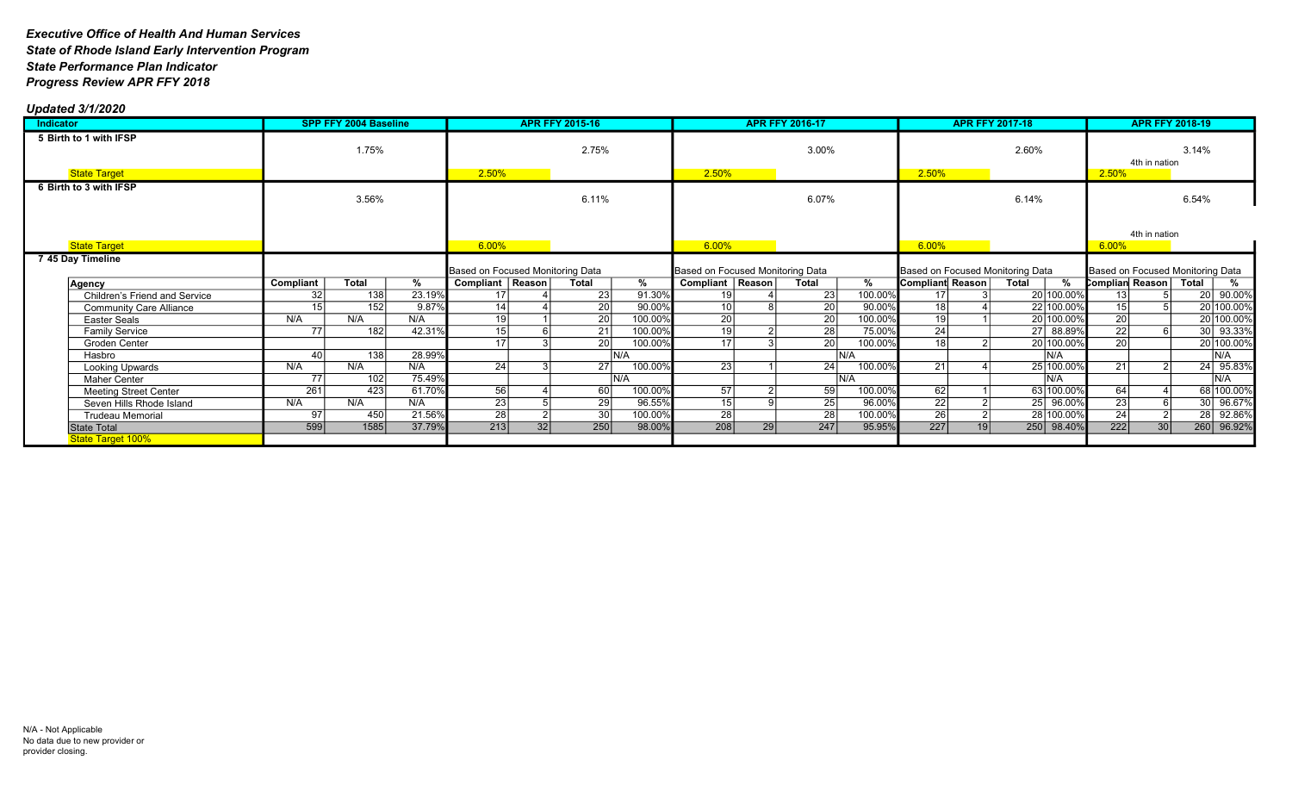| Indicator                               | SPP FFY 2004 Baseline |              |        | <b>APR FFY 2015-16</b>                                 |    |                 |         | <b>APR FFY 2016-17</b>                                 |    |                 |         |                  | <b>APR FFY 2017-18</b> | <b>APR FFY 2018-19</b>                         |                 |               |                                  |
|-----------------------------------------|-----------------------|--------------|--------|--------------------------------------------------------|----|-----------------|---------|--------------------------------------------------------|----|-----------------|---------|------------------|------------------------|------------------------------------------------|-----------------|---------------|----------------------------------|
| 5 Birth to 1 with IFSP                  | 1.75%                 |              |        |                                                        |    | 2.75%           |         | 3.00%                                                  |    | 2.60%           |         | 4th in nation    |                        | 3.14%                                          |                 |               |                                  |
| <b>State Target</b>                     |                       |              |        | 2.50%                                                  |    |                 |         | 2.50%                                                  |    |                 |         | 2.50%            |                        |                                                | 2.50%           |               |                                  |
| 6 Birth to 3 with IFSP                  |                       | 3.56%        |        |                                                        |    | 6.11%           |         |                                                        |    | 6.07%           |         |                  |                        | 6.14%                                          |                 |               | 6.54%                            |
| <b>State Target</b>                     |                       |              |        | 6.00%                                                  |    |                 |         | $6.00\%$                                               |    |                 |         | 6.00%            |                        |                                                | 6.00%           | 4th in nation |                                  |
| 7 45 Day Timeline                       |                       |              |        |                                                        |    |                 |         |                                                        |    |                 |         |                  |                        |                                                |                 |               | Based on Focused Monitoring Data |
| Agency                                  | Compliant             | <b>Total</b> | %      | Based on Focused Monitoring Data<br>Compliant   Reason |    | Total           | %       | Based on Focused Monitoring Data<br>Compliant   Reason |    | Total           | %       | Compliant Reason |                        | Based on Focused Monitoring Data<br>%<br>Total | Complian Reason |               | Total<br>%                       |
| <b>Children's Friend and Service</b>    | 32                    | 138          | 23.19% |                                                        |    | 23              | 91.30%  | 19                                                     |    | 23              | 100.00% | 17               |                        | 20 100.00%                                     |                 |               | 20 90.00%                        |
| <b>Community Care Alliance</b>          |                       | 152          | 9.87%  | 14                                                     |    | $\overline{20}$ | 90.00%  | $\overline{10}$                                        |    | 20              | 90.00%  | $\overline{18}$  |                        | 22 100.00%                                     | 15              |               | 20 100.00%                       |
| Easter Seals                            | N/A                   | N/A          | N/A    | 19                                                     |    | 20              | 100.00% | $\overline{20}$                                        |    | $\overline{20}$ | 100.00% | $\overline{19}$  |                        | 20 100.00%                                     | $\overline{20}$ |               | 20 100.00%                       |
| <b>Family Service</b>                   | 77                    | 182          | 42.31% | 15                                                     |    | 21              | 100.00% | 19                                                     |    | 28              | 75.00%  | 24               |                        | 27 88.89%                                      | 22              |               | 30 93.33%                        |
| Groden Center                           |                       |              |        | 17                                                     |    | 20 <sup>1</sup> | 100.00% | 17                                                     |    | 20 <sub>l</sub> | 100.00% | 18               |                        | 20 100.00%                                     | $\overline{20}$ |               | 20 100.00%                       |
| Hasbro                                  | 40                    | 138          | 28.99% |                                                        |    |                 | N/A     |                                                        |    | IN/A            |         |                  |                        | IN/A                                           |                 |               | $\overline{\mathsf{IN/A}}$       |
| Looking Upwards                         | N/A                   | N/A          | N/A    | -24                                                    |    | 27              | 100.00% | 23                                                     |    | 24              | 100.00% | 21               |                        | 25 100.00%                                     | 21              |               | 24 95.83%                        |
| <b>Maher Center</b>                     | 77                    | 102          | 75.49% |                                                        |    |                 | N/A     |                                                        |    | IN/A            |         |                  |                        | IN/A                                           |                 |               | IN/A                             |
| <b>Meeting Street Center</b>            | 261                   | 423          | 61.70% | 56                                                     |    | 60              | 100.00% | 57                                                     |    | 59              | 100.00% | 62               |                        | 63 100.00%                                     | 64              |               | 68 100.00%                       |
| Seven Hills Rhode Island                | N/A                   | N/A          | N/A    | $\overline{23}$                                        |    | 29              | 96.55%  | $\overline{15}$                                        |    | 25 <sub>l</sub> | 96.00%  | $\overline{22}$  |                        | 96.00%<br>25                                   | $\overline{23}$ |               | 30 96.67%                        |
| <b>Trudeau Memorial</b>                 | 97                    | 450          | 21.56% | $\overline{28}$                                        |    | 30              | 100.00% | $\overline{28}$                                        |    | $\overline{28}$ | 100.00% | $\overline{26}$  |                        | 28 100.00%                                     | 24              |               | 28 92.86%                        |
| State Total<br><b>State Target 100%</b> | 599                   | 1585         | 37.79% | 213                                                    | 32 | 250             | 98.00%  | 208                                                    | 29 | 247             | 95.95%  | 227              | 19                     | 250 98.40%                                     | 222             | 30            | 260 96.92%                       |